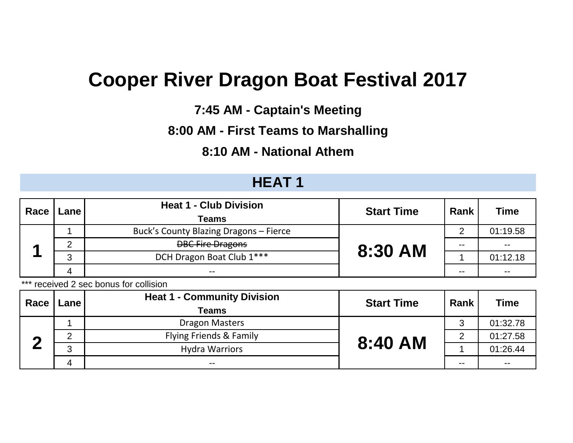# **Cooper River Dragon Boat Festival 2017**

**7:45 AM - Captain's Meeting**

### **8:00 AM - First Teams to Marshalling**

#### **8:10 AM - National Athem**

## **HEAT 1**

| Race | Lane, | <b>Heat 1 - Club Division</b><br><b>Teams</b> | <b>Start Time</b> | Rank | <b>Time</b> |
|------|-------|-----------------------------------------------|-------------------|------|-------------|
|      |       | Buck's County Blazing Dragons - Fierce        |                   | ◠    | 01:19.58    |
|      |       | <b>DBC Fire Dragons</b>                       | 8:30 AM           | --   | $- -$       |
|      |       | DCH Dragon Boat Club 1***                     |                   |      | 01:12.18    |
|      |       | --                                            |                   | --   | $- -$       |

\*\*\* received 2 sec bonus for collision

| Race | <b>Lane</b> | <b>Heat 1 - Community Division</b><br><b>Teams</b> | <b>Start Time</b> | Rank   | <b>Time</b> |
|------|-------------|----------------------------------------------------|-------------------|--------|-------------|
|      |             | <b>Dragon Masters</b>                              |                   | ົ<br>C | 01:32.78    |
| m    |             | Flying Friends & Family                            | 8:40 AM           | ⌒      | 01:27.58    |
|      |             | <b>Hydra Warriors</b>                              |                   |        | 01:26.44    |
|      |             | $- -$                                              |                   | --     | $- -$       |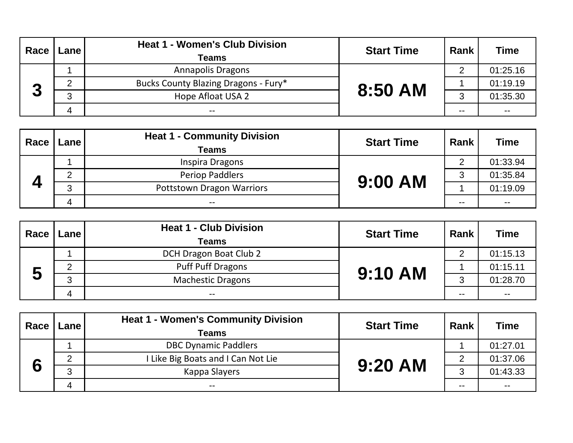| Race | Lane i | <b>Heat 1 - Women's Club Division</b><br>Teams | <b>Start Time</b> | Rank | <b>Time</b> |
|------|--------|------------------------------------------------|-------------------|------|-------------|
|      |        | <b>Annapolis Dragons</b>                       |                   | ⌒    | 01:25.16    |
|      |        | Bucks County Blazing Dragons - Fury*           |                   |      | 01:19.19    |
| 3    | ◠      | Hope Afloat USA 2                              | 8:50 AM           | ◠    | 01:35.30    |
|      |        | $- -$                                          |                   | --   | $- -$       |

| Race | <b>Lane</b> I | <b>Heat 1 - Community Division</b><br>Teams | <b>Start Time</b> | Rank  | <b>Time</b>   |
|------|---------------|---------------------------------------------|-------------------|-------|---------------|
|      |               | Inspira Dragons                             |                   | ◠     | 01:33.94      |
|      |               | <b>Periop Paddlers</b>                      | <b>9:00 AM</b>    | ≏     | 01:35.84      |
|      | ◠             | <b>Pottstown Dragon Warriors</b>            |                   |       | 01:19.09      |
|      | Δ             | $- -$                                       |                   | $- -$ | $\sim$ $\sim$ |

| Race    | Lane | <b>Heat 1 - Club Division</b><br><b>Teams</b> | <b>Start Time</b> | Rank  | <b>Time</b>              |
|---------|------|-----------------------------------------------|-------------------|-------|--------------------------|
|         |      | DCH Dragon Boat Club 2                        |                   | ◠     | 01:15.13                 |
|         |      | <b>Puff Puff Dragons</b>                      | <b>9:10 AM</b>    |       | 01:15.11                 |
| 53<br>J | - 2  | <b>Machestic Dragons</b>                      |                   | ◠     | 01:28.70                 |
|         | 4    | $- -$                                         |                   | $- -$ | $\overline{\phantom{a}}$ |

| Race | Lane | <b>Heat 1 - Women's Community Division</b><br><b>Teams</b> | <b>Start Time</b> | Rank | <b>Time</b>   |
|------|------|------------------------------------------------------------|-------------------|------|---------------|
|      |      | <b>DBC Dynamic Paddlers</b>                                |                   |      | 01:27.01      |
|      | ◠    | Like Big Boats and I Can Not Lie                           | 9:20 AM           | っ    | 01:37.06      |
| 6    | ⌒    | Kappa Slayers                                              |                   | ◠    | 01:43.33      |
|      |      | $- -$                                                      |                   | --   | $\sim$ $\sim$ |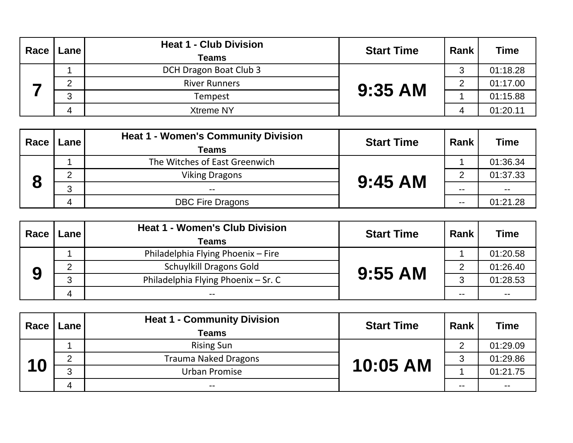| Race | Lane | <b>Heat 1 - Club Division</b><br><b>Teams</b> | <b>Start Time</b> | Rank | <b>Time</b> |
|------|------|-----------------------------------------------|-------------------|------|-------------|
|      |      | DCH Dragon Boat Club 3                        |                   | հ    | 01:18.28    |
|      |      | <b>River Runners</b>                          | 9:35 AM           | C    | 01:17.00    |
|      | ◠    | Tempest                                       |                   |      | 01:15.88    |
|      | Δ    | Xtreme NY                                     |                   | 4    | 01:20.11    |

| Race | Lane | <b>Heat 1 - Women's Community Division</b><br>Teams | <b>Start Time</b> | Rank  | <b>Time</b> |
|------|------|-----------------------------------------------------|-------------------|-------|-------------|
|      |      | The Witches of East Greenwich                       |                   |       | 01:36.34    |
| О    |      | <b>Viking Dragons</b>                               | $9:45$ AM         | ◠     | 01:37.33    |
|      |      |                                                     |                   | --    | $- -$       |
|      | 4    | <b>DBC Fire Dragons</b>                             |                   | $- -$ | 01:21.28    |

| Race | Lane I                    | <b>Heat 1 - Women's Club Division</b><br>Teams | <b>Start Time</b> | Rank  | <b>Time</b> |
|------|---------------------------|------------------------------------------------|-------------------|-------|-------------|
|      |                           | Philadelphia Flying Phoenix - Fire             |                   |       | 01:20.58    |
|      | ◠                         | <b>Schuylkill Dragons Gold</b>                 |                   | ⌒     | 01:26.40    |
| 9    | ◠                         | Philadelphia Flying Phoenix - Sr. C            | $9:55$ AM         | 3     | 01:28.53    |
|      | $\boldsymbol{\varLambda}$ | $- -$                                          |                   | $- -$ | $- -$       |

| Race | Lane | <b>Heat 1 - Community Division</b><br><b>Teams</b> | <b>Start Time</b> | Rank | <b>Time</b>   |
|------|------|----------------------------------------------------|-------------------|------|---------------|
|      |      | <b>Rising Sun</b>                                  |                   | ⌒    | 01:29.09      |
|      | ⌒    | <b>Trauma Naked Dragons</b>                        | 10:05 AM          | 3    | 01:29.86      |
| 10   | ◠    | Urban Promise                                      |                   |      | 01:21.75      |
|      |      | $\sim$ $\sim$                                      |                   | --   | $\sim$ $\sim$ |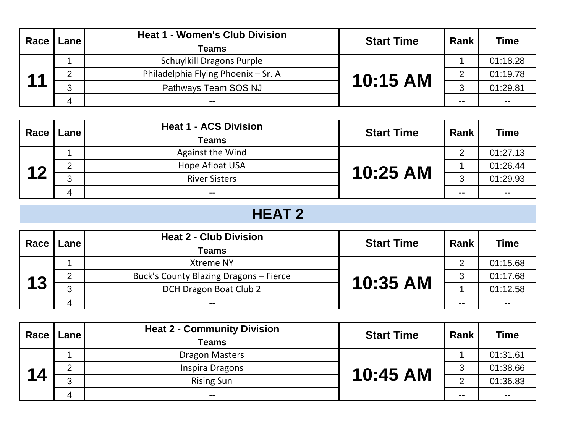| Race                                      | <b>Lane</b> | <b>Heat 1 - Women's Club Division</b><br><b>Teams</b> | <b>Start Time</b> | Rank  | <b>Time</b> |
|-------------------------------------------|-------------|-------------------------------------------------------|-------------------|-------|-------------|
|                                           |             | <b>Schuylkill Dragons Purple</b>                      |                   |       | 01:18.28    |
| $\begin{array}{c} \n 4 \\ \n \end{array}$ | ⌒           | Philadelphia Flying Phoenix - Sr. A                   | 10:15 AM          | 2     | 01:19.78    |
|                                           | ◠           | Pathways Team SOS NJ                                  |                   | ◠     | 01:29.81    |
|                                           | 4           | $- -$                                                 |                   | $- -$ | $- -$       |

| Race | Lane I        | <b>Heat 1 - ACS Division</b><br><b>Teams</b> | <b>Start Time</b> | Rank          | <b>Time</b>   |
|------|---------------|----------------------------------------------|-------------------|---------------|---------------|
|      |               | Against the Wind                             |                   | ⌒             | 01:27.13      |
| 12   | ⌒<br><u>_</u> | Hope Afloat USA                              | 10:25 AM          |               | 01:26.44      |
|      | ◠             | <b>River Sisters</b>                         |                   | $\Omega$<br>J | 01:29.93      |
|      | Δ             | $- -$                                        |                   | --            | $\sim$ $\sim$ |

# **HEAT 2**

| Race | Lane I | <b>Heat 2 - Club Division</b><br>Teams | <b>Start Time</b> | Rank | <b>Time</b>   |
|------|--------|----------------------------------------|-------------------|------|---------------|
|      |        | <b>Xtreme NY</b>                       |                   | ◠    | 01:15.68      |
|      | ⌒      | Buck's County Blazing Dragons - Fierce |                   | 3    | 01:17.68      |
| 13   | ◠      | DCH Dragon Boat Club 2                 | 10:35 AM          |      | 01:12.58      |
|      | Δ      | $- -$                                  |                   | --   | $\sim$ $\sim$ |

| Race | Lane I | <b>Heat 2 - Community Division</b><br><b>Teams</b> | <b>Start Time</b> | Rank  | <b>Time</b> |
|------|--------|----------------------------------------------------|-------------------|-------|-------------|
|      |        | <b>Dragon Masters</b>                              |                   |       | 01:31.61    |
| 14   | ⌒      | Inspira Dragons                                    | 10:45 AM          | 3     | 01:38.66    |
|      | ◠      | <b>Rising Sun</b>                                  |                   | ◠     | 01:36.83    |
|      |        | $- -$                                              |                   | $- -$ | $- -$       |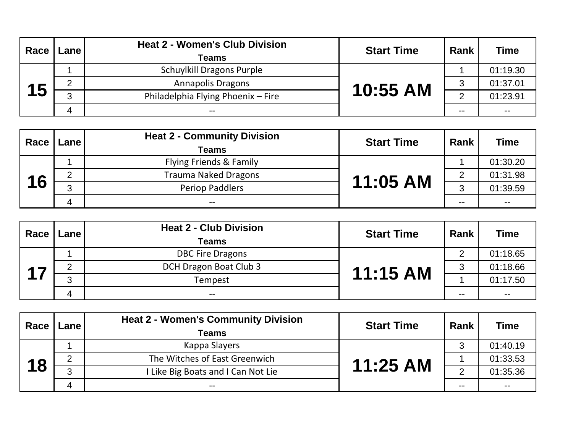| Race | <b>Lane</b> | <b>Heat 2 - Women's Club Division</b><br>Teams | <b>Start Time</b> | Rank | <b>Time</b> |
|------|-------------|------------------------------------------------|-------------------|------|-------------|
|      |             | <b>Schuylkill Dragons Purple</b>               |                   |      | 01:19.30    |
|      | ◠           | <b>Annapolis Dragons</b>                       | 10:55 AM          | 3    | 01:37.01    |
| 15   | ◠           | Philadelphia Flying Phoenix - Fire             |                   | ◠    | 01:23.91    |
|      |             | $- -$                                          |                   | --   | $- -$       |

| Race | <b>Lane</b> l | <b>Heat 2 - Community Division</b><br>Teams | <b>Start Time</b> | Rank   | <b>Time</b>   |
|------|---------------|---------------------------------------------|-------------------|--------|---------------|
|      |               | Flying Friends & Family                     |                   |        | 01:30.20      |
|      | ▃             | <b>Trauma Naked Dragons</b>                 | 11:05 AM          | ⌒      | 01:31.98      |
| 16   | ⌒             | Periop Paddlers                             |                   | ◠<br>J | 01:39.59      |
|      | 4             | $- -$                                       |                   | --     | $\sim$ $\sim$ |

| Race                          | <b>Lane</b> | <b>Heat 2 - Club Division</b><br><b>Teams</b> | <b>Start Time</b> | Rank  | <b>Time</b> |
|-------------------------------|-------------|-----------------------------------------------|-------------------|-------|-------------|
|                               |             | <b>DBC Fire Dragons</b>                       |                   | ◠     | 01:18.65    |
| $\overline{\phantom{a}}$<br>л |             | DCH Dragon Boat Club 3                        | 11:15 AM          | 3     | 01:18.66    |
|                               | ◠           | Tempest                                       |                   |       | 01:17.50    |
|                               | 4           | $- -$                                         |                   | $- -$ | $- -$       |

| Race | Lane | <b>Heat 2 - Women's Community Division</b><br><b>Teams</b> | <b>Start Time</b> | Rank | <b>Time</b> |
|------|------|------------------------------------------------------------|-------------------|------|-------------|
|      |      | Kappa Slayers                                              |                   | ્ર   | 01:40.19    |
|      |      | The Witches of East Greenwich                              | 11:25 AM          |      | 01:33.53    |
| 18   | ົ    | Like Big Boats and I Can Not Lie                           |                   | ◠    | 01:35.36    |
|      | 4    | $- -$                                                      |                   | --   | $- -$       |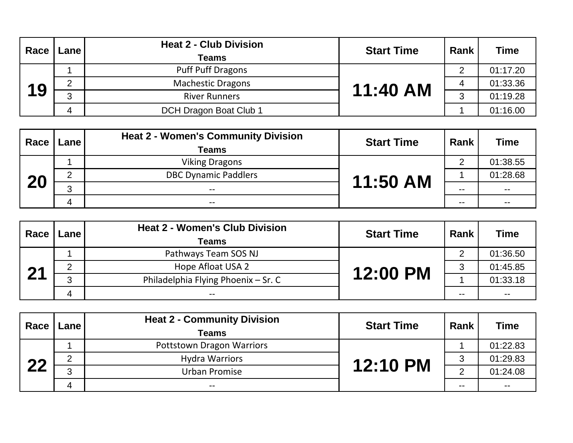| Race | Lane   | <b>Heat 2 - Club Division</b><br><b>Teams</b> | <b>Start Time</b> | Rank | <b>Time</b> |
|------|--------|-----------------------------------------------|-------------------|------|-------------|
|      |        | <b>Puff Puff Dragons</b>                      |                   | ◠    | 01:17.20    |
|      | ◠<br>∼ | <b>Machestic Dragons</b>                      | 11:40 AM          | 4    | 01:33.36    |
| 19   | ◠      | <b>River Runners</b>                          |                   | ◠    | 01:19.28    |
|      | Δ      | DCH Dragon Boat Club 1                        |                   |      | 01:16.00    |

| Race | Lane | <b>Heat 2 - Women's Community Division</b><br>Teams | <b>Start Time</b> | Rank | <b>Time</b>   |
|------|------|-----------------------------------------------------|-------------------|------|---------------|
|      |      | <b>Viking Dragons</b>                               |                   | ⌒    | 01:38.55      |
|      |      | <b>DBC Dynamic Paddlers</b>                         | 11:50 AM          |      | 01:28.68      |
| 20   |      | $- -$                                               |                   | --   | $\sim$ $\sim$ |
|      |      | $- -$                                               |                   | --   | $- -$         |

| Race | Lane | <b>Heat 2 - Women's Club Division</b><br>Teams | <b>Start Time</b> | Rank  | <b>Time</b> |
|------|------|------------------------------------------------|-------------------|-------|-------------|
|      |      | Pathways Team SOS NJ                           |                   | ⌒     | 01:36.50    |
| 04   | ⌒    | Hope Afloat USA 2                              | 12:00 PM          | 3     | 01:45.85    |
|      | റ    | Philadelphia Flying Phoenix - Sr. C            |                   |       | 01:33.18    |
|      |      | $- -$                                          |                   | $- -$ | $- -$       |

| Race | Lane | <b>Heat 2 - Community Division</b><br><b>Teams</b> | <b>Start Time</b> | Rank | <b>Time</b>   |
|------|------|----------------------------------------------------|-------------------|------|---------------|
|      |      | <b>Pottstown Dragon Warriors</b>                   |                   |      | 01:22.83      |
| ററ   | ⌒    | <b>Hydra Warriors</b>                              | <b>12:10 PM</b>   | հ    | 01:29.83      |
|      | റ    | Urban Promise                                      |                   | ⌒    | 01:24.08      |
|      |      | $\sim$ $\sim$                                      |                   | --   | $\sim$ $\sim$ |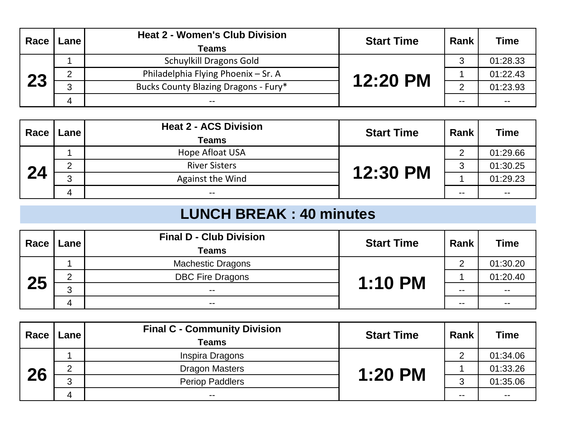| Race | Lane | <b>Heat 2 - Women's Club Division</b><br>Teams | <b>Start Time</b> | Rank | Time     |
|------|------|------------------------------------------------|-------------------|------|----------|
|      |      | <b>Schuylkill Dragons Gold</b>                 |                   | 3    | 01:28.33 |
|      |      | Philadelphia Flying Phoenix - Sr. A            | 12:20 PM          |      | 01:22.43 |
| 23   | ◠    | Bucks County Blazing Dragons - Fury*           |                   | ົ    | 01:23.93 |
|      |      | --                                             |                   | --   | $- -$    |

| Race | Lane   | <b>Heat 2 - ACS Division</b><br><b>Teams</b> | <b>Start Time</b> | Rank | <b>Time</b> |
|------|--------|----------------------------------------------|-------------------|------|-------------|
|      |        | Hope Afloat USA                              |                   | ⌒    | 01:29.66    |
| 24   | n<br>_ | <b>River Sisters</b>                         | 12:30 PM          | 3    | 01:30.25    |
|      | ◠<br>ີ | Against the Wind                             |                   |      | 01:29.23    |
|      | 4      | $- -$                                        |                   | --   | $- -$       |

# **LUNCH BREAK : 40 minutes**

| Race | Lane I | <b>Final D - Club Division</b><br><b>Teams</b> | <b>Start Time</b> | Rank | <b>Time</b> |
|------|--------|------------------------------------------------|-------------------|------|-------------|
|      |        | <b>Machestic Dragons</b>                       |                   | ⌒    | 01:30.20    |
| 25   | ⌒      | <b>DBC Fire Dragons</b>                        | <b>1:10 PM</b>    |      | 01:20.40    |
|      | ◠      | $- -$                                          |                   | --   | $- -$       |
|      |        | $\sim$ $\sim$                                  |                   | --   | $- -$       |

| Race | <b>Lane</b> | <b>Final C - Community Division</b><br><b>Teams</b> | <b>Start Time</b> | Rank  | <b>Time</b> |
|------|-------------|-----------------------------------------------------|-------------------|-------|-------------|
|      |             | Inspira Dragons                                     |                   | ⌒     | 01:34.06    |
| 26   | ⌒           | <b>Dragon Masters</b>                               | <b>1:20 PM</b>    |       | 01:33.26    |
|      | ◠           | <b>Periop Paddlers</b>                              |                   | 2     | 01:35.06    |
|      |             | $- -$                                               |                   | $- -$ | $- -$       |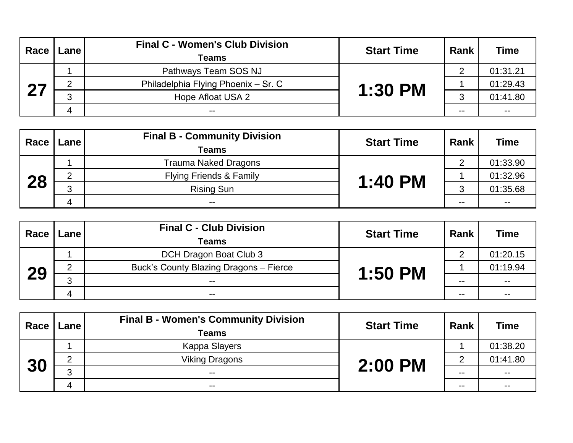| Race | Lane | <b>Final C - Women's Club Division</b><br><b>Teams</b> | <b>Start Time</b> | Rank | <b>Time</b> |
|------|------|--------------------------------------------------------|-------------------|------|-------------|
|      |      | Pathways Team SOS NJ                                   |                   | ⌒    | 01:31.21    |
| 07   | ∠    | Philadelphia Flying Phoenix - Sr. C                    | <b>1:30 PM</b>    |      | 01:29.43    |
|      | ⌒    | Hope Afloat USA 2                                      |                   | ◠    | 01:41.80    |
|      | 4    | $- -$                                                  |                   | --   | $- -$       |

| Race | Lane l | <b>Final B - Community Division</b><br>Teams | <b>Start Time</b> | Rank   | <b>Time</b>   |
|------|--------|----------------------------------------------|-------------------|--------|---------------|
|      |        | <b>Trauma Naked Dragons</b>                  |                   | ⌒      | 01:33.90      |
| 28   |        | <b>Flying Friends &amp; Family</b>           | <b>1:40 PM</b>    |        | 01:32.96      |
|      | ◠      | <b>Rising Sun</b>                            |                   | ◠<br>ບ | 01:35.68      |
|      | Δ      | $- -$                                        |                   | $- -$  | $\sim$ $\sim$ |

| Race | Lane | <b>Final C - Club Division</b><br><b>Teams</b> | <b>Start Time</b> | Rank  | <b>Time</b> |
|------|------|------------------------------------------------|-------------------|-------|-------------|
|      |      | DCH Dragon Boat Club 3                         |                   | ⌒     | 01:20.15    |
|      |      | Buck's County Blazing Dragons - Fierce         | <b>1:50 PM</b>    |       | 01:19.94    |
| 29   | ◠    | $- -$                                          |                   | $- -$ | $- -$       |
|      | 4    | $- -$                                          |                   | $- -$ | $- -$       |

| Race | Lane | <b>Final B - Women's Community Division</b><br><b>Teams</b> | <b>Start Time</b> | Rank | <b>Time</b>              |
|------|------|-------------------------------------------------------------|-------------------|------|--------------------------|
|      |      | Kappa Slayers                                               |                   |      | 01:38.20                 |
| 30   |      | <b>Viking Dragons</b>                                       | 2:00 PM           | ⌒    | 01:41.80                 |
|      | റ    | $- -$                                                       |                   | --   | $\overline{\phantom{a}}$ |
|      |      | $- -$                                                       |                   | --   | $- -$                    |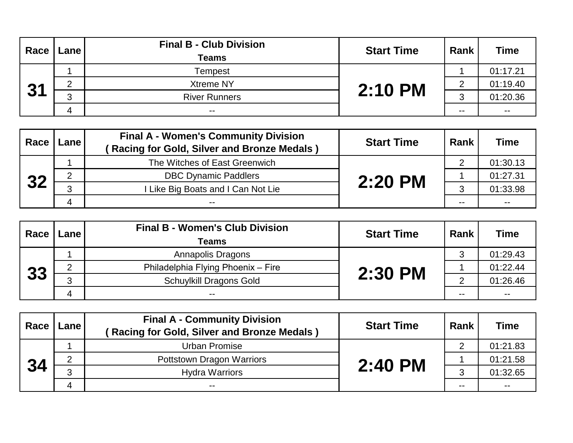| Race | Lane I | <b>Final B - Club Division</b><br><b>Teams</b> | <b>Start Time</b> | Rank   | <b>Time</b>   |
|------|--------|------------------------------------------------|-------------------|--------|---------------|
|      |        | Tempest                                        |                   |        | 01:17.21      |
| 24   |        | <b>Xtreme NY</b>                               | 2:10 PM           | ⌒      | 01:19.40      |
| ◡    | ⌒      | <b>River Runners</b>                           |                   | ≏<br>ບ | 01:20.36      |
|      |        | $- -$                                          |                   | $- -$  | $\sim$ $\sim$ |

| Race | Lane I | <b>Final A - Women's Community Division</b><br>Racing for Gold, Silver and Bronze Medals) | <b>Start Time</b> | Rank | <b>Time</b>   |
|------|--------|-------------------------------------------------------------------------------------------|-------------------|------|---------------|
| 32   |        | The Witches of East Greenwich                                                             |                   | っ    | 01:30.13      |
|      |        | <b>DBC Dynamic Paddlers</b>                                                               | 2:20 PM           |      | 01:27.31      |
|      | ◠      | I Like Big Boats and I Can Not Lie                                                        |                   | 2    | 01:33.98      |
|      | Δ      | --                                                                                        |                   | --   | $\sim$ $\sim$ |

| Race | Lane l | <b>Final B - Women's Club Division</b><br><b>Teams</b> | <b>Start Time</b> | Rank | <b>Time</b> |
|------|--------|--------------------------------------------------------|-------------------|------|-------------|
|      |        | Annapolis Dragons                                      |                   | 3    | 01:29.43    |
|      | ⌒      | Philadelphia Flying Phoenix - Fire                     | 2:30 PM           |      | 01:22.44    |
| 33   | ◠      | <b>Schuylkill Dragons Gold</b>                         |                   | ⌒    | 01:26.46    |
|      |        | $- -$                                                  |                   | --   | $- -$       |

| Race | <b>Lane</b> I | <b>Final A - Community Division</b><br>Racing for Gold, Silver and Bronze Medals) | <b>Start Time</b> | Rank | <b>Time</b>   |
|------|---------------|-----------------------------------------------------------------------------------|-------------------|------|---------------|
|      |               | Urban Promise                                                                     |                   | ⌒    | 01:21.83      |
| 34   |               | Pottstown Dragon Warriors                                                         | 2:40 PM           |      | 01:21.58      |
|      | ◠             | <b>Hydra Warriors</b>                                                             |                   | հ    | 01:32.65      |
|      |               | $- -$                                                                             |                   | --   | $\sim$ $\sim$ |